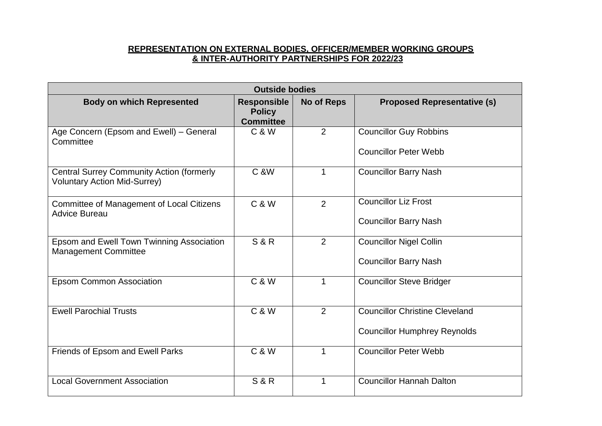| <b>Outside bodies</b>                                                                   |                                                         |                   |                                                                              |  |  |
|-----------------------------------------------------------------------------------------|---------------------------------------------------------|-------------------|------------------------------------------------------------------------------|--|--|
| <b>Body on which Represented</b>                                                        | <b>Responsible</b><br><b>Policy</b><br><b>Committee</b> | <b>No of Reps</b> | <b>Proposed Representative (s)</b>                                           |  |  |
| Age Concern (Epsom and Ewell) - General<br>Committee                                    | <b>C &amp; W</b>                                        | $\overline{2}$    | <b>Councillor Guy Robbins</b><br><b>Councillor Peter Webb</b>                |  |  |
| <b>Central Surrey Community Action (formerly</b><br><b>Voluntary Action Mid-Surrey)</b> | <b>C &amp;W</b>                                         | 1                 | <b>Councillor Barry Nash</b>                                                 |  |  |
| Committee of Management of Local Citizens<br><b>Advice Bureau</b>                       | <b>C &amp; W</b>                                        | $\overline{2}$    | <b>Councillor Liz Frost</b><br><b>Councillor Barry Nash</b>                  |  |  |
| Epsom and Ewell Town Twinning Association<br><b>Management Committee</b>                | <b>S&amp;R</b>                                          | 2                 | <b>Councillor Nigel Collin</b><br><b>Councillor Barry Nash</b>               |  |  |
| <b>Epsom Common Association</b>                                                         | <b>C &amp; W</b>                                        | 1                 | <b>Councillor Steve Bridger</b>                                              |  |  |
| <b>Ewell Parochial Trusts</b>                                                           | <b>C &amp; W</b>                                        | 2                 | <b>Councillor Christine Cleveland</b><br><b>Councillor Humphrey Reynolds</b> |  |  |
| Friends of Epsom and Ewell Parks                                                        | <b>C &amp; W</b>                                        | 1                 | <b>Councillor Peter Webb</b>                                                 |  |  |
| <b>Local Government Association</b>                                                     | <b>S&amp;R</b>                                          | 1                 | <b>Councillor Hannah Dalton</b>                                              |  |  |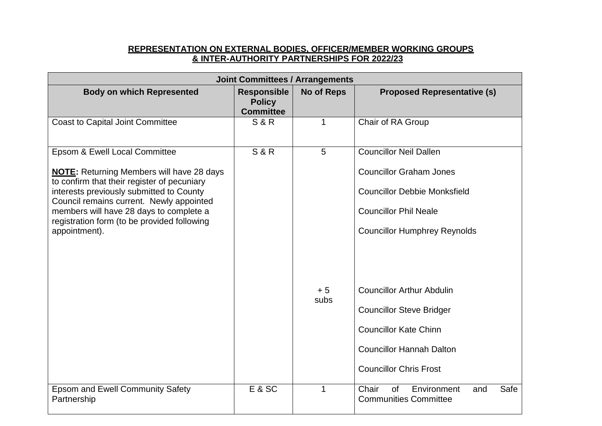| <b>Joint Committees / Arrangements</b>                                                                                                                                                                                                                                                                                              |                                                         |                   |                                                                                                                                                                               |  |  |
|-------------------------------------------------------------------------------------------------------------------------------------------------------------------------------------------------------------------------------------------------------------------------------------------------------------------------------------|---------------------------------------------------------|-------------------|-------------------------------------------------------------------------------------------------------------------------------------------------------------------------------|--|--|
| <b>Body on which Represented</b>                                                                                                                                                                                                                                                                                                    | <b>Responsible</b><br><b>Policy</b><br><b>Committee</b> | <b>No of Reps</b> | <b>Proposed Representative (s)</b>                                                                                                                                            |  |  |
| <b>Coast to Capital Joint Committee</b>                                                                                                                                                                                                                                                                                             | <b>S&amp;R</b>                                          | $\mathbf{1}$      | Chair of RA Group                                                                                                                                                             |  |  |
| Epsom & Ewell Local Committee<br><b>NOTE:</b> Returning Members will have 28 days<br>to confirm that their register of pecuniary<br>interests previously submitted to County<br>Council remains current. Newly appointed<br>members will have 28 days to complete a<br>registration form (to be provided following<br>appointment). | <b>S&amp;R</b>                                          | 5                 | <b>Councillor Neil Dallen</b><br><b>Councillor Graham Jones</b><br><b>Councillor Debbie Monksfield</b><br><b>Councillor Phil Neale</b><br><b>Councillor Humphrey Reynolds</b> |  |  |
|                                                                                                                                                                                                                                                                                                                                     |                                                         | $+5$<br>subs      | <b>Councillor Arthur Abdulin</b><br><b>Councillor Steve Bridger</b><br><b>Councillor Kate Chinn</b><br><b>Councillor Hannah Dalton</b><br><b>Councillor Chris Frost</b>       |  |  |
| <b>Epsom and Ewell Community Safety</b><br>Partnership                                                                                                                                                                                                                                                                              | E & SC                                                  | 1                 | Environment<br>Safe<br>Chair<br><b>of</b><br>and<br><b>Communities Committee</b>                                                                                              |  |  |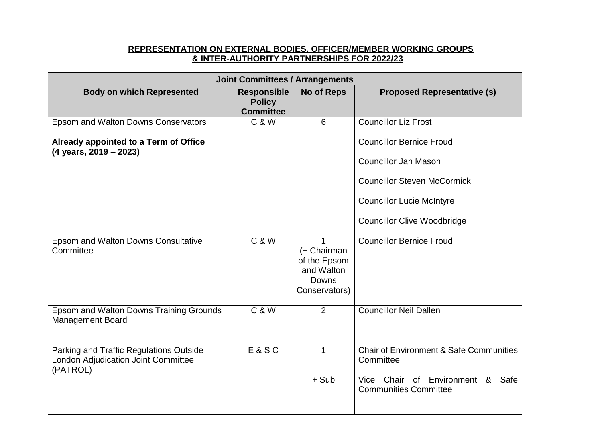| <b>Joint Committees / Arrangements</b>                                                     |                                                         |                                                                     |                                                                     |  |
|--------------------------------------------------------------------------------------------|---------------------------------------------------------|---------------------------------------------------------------------|---------------------------------------------------------------------|--|
| <b>Body on which Represented</b>                                                           | <b>Responsible</b><br><b>Policy</b><br><b>Committee</b> | <b>No of Reps</b>                                                   | <b>Proposed Representative (s)</b>                                  |  |
| Epsom and Walton Downs Conservators                                                        | $C$ & $W$                                               | 6                                                                   | <b>Councillor Liz Frost</b>                                         |  |
| Already appointed to a Term of Office<br>$(4 \text{ years}, 2019 - 2023)$                  |                                                         |                                                                     | <b>Councillor Bernice Froud</b>                                     |  |
|                                                                                            |                                                         |                                                                     | <b>Councillor Jan Mason</b>                                         |  |
|                                                                                            |                                                         |                                                                     | <b>Councillor Steven McCormick</b>                                  |  |
|                                                                                            |                                                         |                                                                     | <b>Councillor Lucie McIntyre</b>                                    |  |
|                                                                                            |                                                         |                                                                     | <b>Councillor Clive Woodbridge</b>                                  |  |
| <b>Epsom and Walton Downs Consultative</b><br>Committee                                    | $C$ & $W$                                               | (+ Chairman<br>of the Epsom<br>and Walton<br>Downs<br>Conservators) | <b>Councillor Bernice Froud</b>                                     |  |
| Epsom and Walton Downs Training Grounds<br><b>Management Board</b>                         | <b>C &amp; W</b>                                        | 2                                                                   | <b>Councillor Neil Dallen</b>                                       |  |
| Parking and Traffic Regulations Outside<br>London Adjudication Joint Committee<br>(PATROL) | E&SC                                                    | 1                                                                   | <b>Chair of Environment &amp; Safe Communities</b><br>Committee     |  |
|                                                                                            |                                                         | $+$ Sub                                                             | Vice Chair of Environment &<br>Safe<br><b>Communities Committee</b> |  |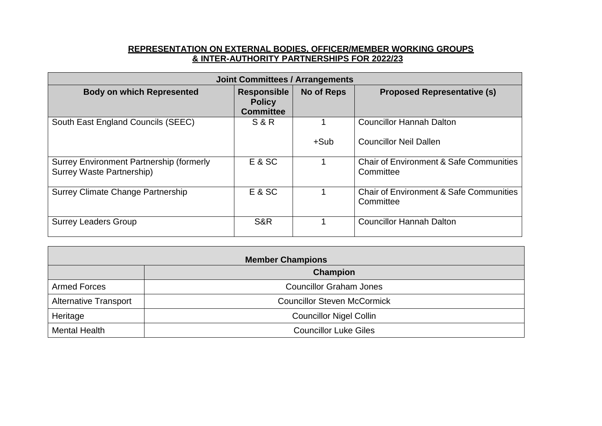| <b>Joint Committees / Arrangements</b>                                       |                                                         |                   |                                                                 |  |
|------------------------------------------------------------------------------|---------------------------------------------------------|-------------------|-----------------------------------------------------------------|--|
| <b>Body on which Represented</b>                                             | <b>Responsible</b><br><b>Policy</b><br><b>Committee</b> | <b>No of Reps</b> | <b>Proposed Representative (s)</b>                              |  |
| South East England Councils (SEEC)                                           | <b>S &amp; R</b>                                        |                   | <b>Councillor Hannah Dalton</b>                                 |  |
|                                                                              |                                                         | $+Sub$            | <b>Councillor Neil Dallen</b>                                   |  |
| <b>Surrey Environment Partnership (formerly</b><br>Surrey Waste Partnership) | E & SC                                                  |                   | <b>Chair of Environment &amp; Safe Communities</b><br>Committee |  |
| Surrey Climate Change Partnership                                            | E & SC                                                  |                   | <b>Chair of Environment &amp; Safe Communities</b><br>Committee |  |
| <b>Surrey Leaders Group</b>                                                  | S&R                                                     |                   | <b>Councillor Hannah Dalton</b>                                 |  |

| <b>Member Champions</b>      |                                    |  |  |
|------------------------------|------------------------------------|--|--|
| Champion                     |                                    |  |  |
| <b>Armed Forces</b>          | <b>Councillor Graham Jones</b>     |  |  |
| <b>Alternative Transport</b> | <b>Councillor Steven McCormick</b> |  |  |
| Heritage                     | <b>Councillor Nigel Collin</b>     |  |  |
| <b>Mental Health</b>         | <b>Councillor Luke Giles</b>       |  |  |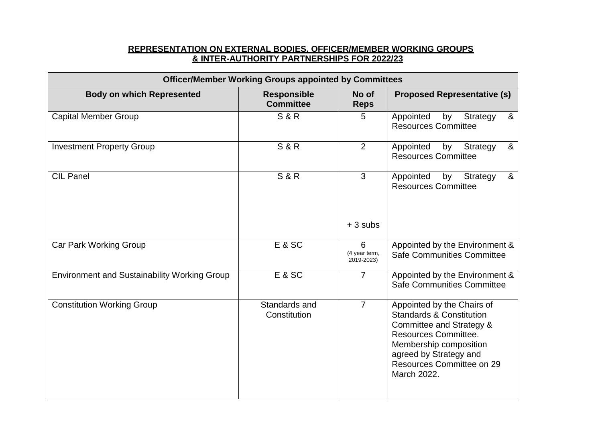| <b>Officer/Member Working Groups appointed by Committees</b> |                                        |                                  |                                                                                                                                                                                                                       |  |
|--------------------------------------------------------------|----------------------------------------|----------------------------------|-----------------------------------------------------------------------------------------------------------------------------------------------------------------------------------------------------------------------|--|
| <b>Body on which Represented</b>                             | <b>Responsible</b><br><b>Committee</b> | No of<br><b>Reps</b>             | <b>Proposed Representative (s)</b>                                                                                                                                                                                    |  |
| <b>Capital Member Group</b>                                  | <b>S&amp;R</b>                         | 5                                | &<br>Appointed<br>Strategy<br>by<br><b>Resources Committee</b>                                                                                                                                                        |  |
| <b>Investment Property Group</b>                             | <b>S&amp;R</b>                         | 2                                | &<br>Appointed<br>by<br>Strategy<br><b>Resources Committee</b>                                                                                                                                                        |  |
| <b>CIL Panel</b>                                             | <b>S&amp;R</b>                         | 3                                | &<br>Strategy<br>Appointed<br>by<br><b>Resources Committee</b>                                                                                                                                                        |  |
|                                                              |                                        | $+3$ subs                        |                                                                                                                                                                                                                       |  |
| <b>Car Park Working Group</b>                                | E & SC                                 | 6<br>(4 year term,<br>2019-2023) | Appointed by the Environment &<br>Safe Communities Committee                                                                                                                                                          |  |
| <b>Environment and Sustainability Working Group</b>          | E & SC                                 | $\overline{7}$                   | Appointed by the Environment &<br>Safe Communities Committee                                                                                                                                                          |  |
| <b>Constitution Working Group</b>                            | Standards and<br>Constitution          | $\overline{7}$                   | Appointed by the Chairs of<br><b>Standards &amp; Constitution</b><br>Committee and Strategy &<br>Resources Committee.<br>Membership composition<br>agreed by Strategy and<br>Resources Committee on 29<br>March 2022. |  |